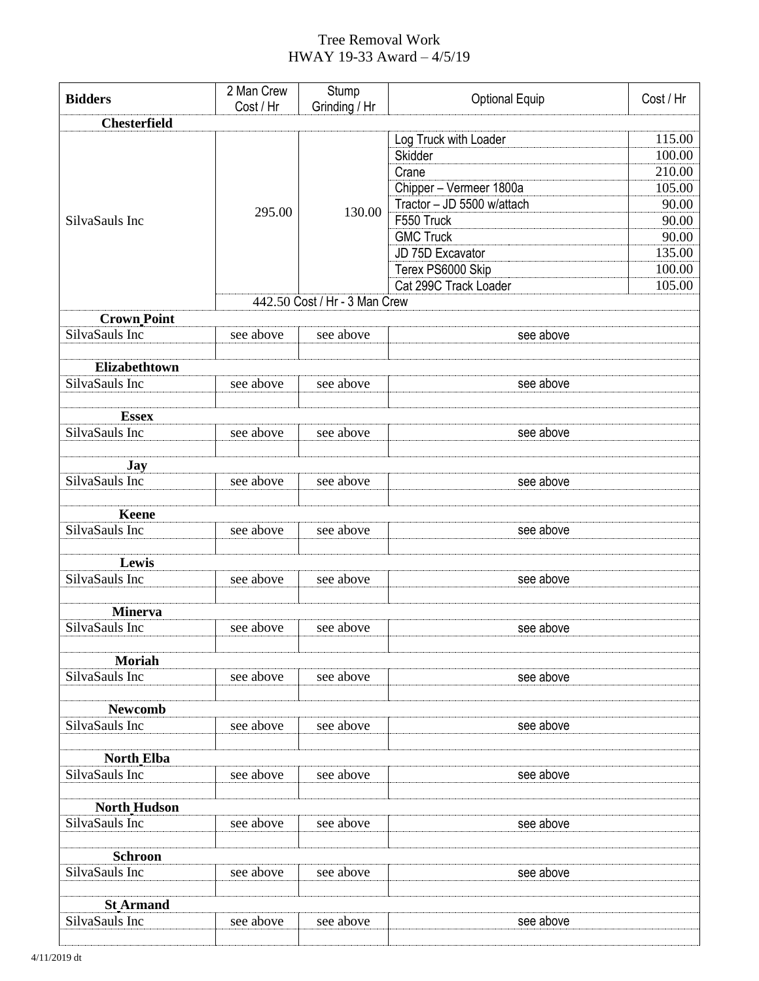## Tree Removal Work HWAY 19-33 Award – 4/5/19

| <b>Bidders</b>      | 2 Man Crew<br>Cost / Hr | Stump<br>Grinding / Hr                  | <b>Optional Equip</b>      | Cost / Hr |  |  |
|---------------------|-------------------------|-----------------------------------------|----------------------------|-----------|--|--|
| <b>Chesterfield</b> |                         |                                         |                            |           |  |  |
|                     |                         | 130.00<br>442.50 Cost / Hr - 3 Man Crew | Log Truck with Loader      | 115.00    |  |  |
| SilvaSauls Inc      | 295.00                  |                                         | Skidder                    | 100.00    |  |  |
|                     |                         |                                         | Crane                      | 210.00    |  |  |
|                     |                         |                                         | Chipper - Vermeer 1800a    | 105.00    |  |  |
|                     |                         |                                         | Tractor - JD 5500 w/attach | 90.00     |  |  |
|                     |                         |                                         | F550 Truck                 | 90.00     |  |  |
|                     |                         |                                         | <b>GMC Truck</b>           | 90.00     |  |  |
|                     |                         |                                         | JD 75D Excavator           | 135.00    |  |  |
|                     |                         |                                         | Terex PS6000 Skip          | 100.00    |  |  |
|                     |                         |                                         | Cat 299C Track Loader      | 105.00    |  |  |
|                     |                         |                                         |                            |           |  |  |
| <b>Crown Point</b>  |                         |                                         |                            |           |  |  |
| SilvaSauls Inc      | see above               | see above                               | see above                  |           |  |  |
|                     |                         |                                         |                            |           |  |  |
| Elizabethtown       |                         |                                         |                            |           |  |  |
| SilvaSauls Inc      | see above               | see above                               | see above                  |           |  |  |
|                     |                         |                                         |                            |           |  |  |
| <b>Essex</b>        |                         |                                         |                            |           |  |  |
| SilvaSauls Inc      | see above               | see above                               | see above                  |           |  |  |
|                     |                         |                                         |                            |           |  |  |
| <b>Jay</b>          |                         |                                         |                            |           |  |  |
| SilvaSauls Inc      | see above               | see above                               | see above                  |           |  |  |
|                     |                         |                                         |                            |           |  |  |
| <b>Keene</b>        |                         |                                         |                            |           |  |  |
| SilvaSauls Inc      | see above               | see above                               | see above                  |           |  |  |
|                     |                         |                                         |                            |           |  |  |
| Lewis               |                         |                                         |                            |           |  |  |
| SilvaSauls Inc      | see above               | see above                               | see above                  |           |  |  |
|                     |                         |                                         |                            |           |  |  |
| <b>Minerva</b>      |                         |                                         |                            |           |  |  |
| SilvaSauls Inc      | see above               | see above                               | see above                  |           |  |  |
|                     |                         |                                         |                            |           |  |  |
| <b>Moriah</b>       |                         |                                         |                            |           |  |  |
| SilvaSauls Inc      | see above               | see above                               | see above                  |           |  |  |
|                     |                         |                                         |                            |           |  |  |
| <b>Newcomb</b>      |                         |                                         |                            |           |  |  |
| SilvaSauls Inc      | see above               | see above                               | see above                  |           |  |  |
|                     |                         |                                         |                            |           |  |  |
| <b>North Elba</b>   |                         |                                         |                            |           |  |  |
| SilvaSauls Inc      | see above               | see above                               | see above                  |           |  |  |
|                     |                         |                                         |                            |           |  |  |
| <b>North</b> Hudson |                         |                                         |                            |           |  |  |
| SilvaSauls Inc      | see above               | see above                               | see above                  |           |  |  |
|                     |                         |                                         |                            |           |  |  |
| <b>Schroon</b>      |                         |                                         |                            |           |  |  |
| SilvaSauls Inc      | see above               | see above                               | see above                  |           |  |  |
|                     |                         |                                         |                            |           |  |  |
| <b>St Armand</b>    |                         |                                         |                            |           |  |  |
| SilvaSauls Inc      | see above               | see above                               | see above                  |           |  |  |
|                     |                         |                                         |                            |           |  |  |